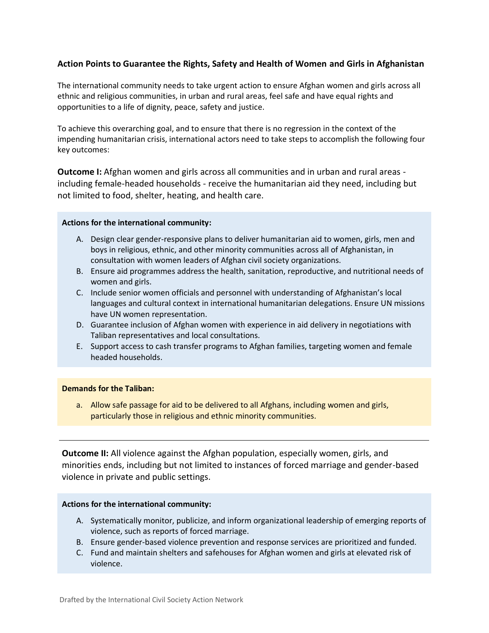# **Action Points to Guarantee the Rights, Safety and Health of Women and Girls in Afghanistan**

The international community needs to take urgent action to ensure Afghan women and girls across all ethnic and religious communities, in urban and rural areas, feel safe and have equal rights and opportunities to a life of dignity, peace, safety and justice.

To achieve this overarching goal, and to ensure that there is no regression in the context of the impending humanitarian crisis, international actors need to take steps to accomplish the following four key outcomes:

**Outcome I:** Afghan women and girls across all communities and in urban and rural areas including female-headed households - receive the humanitarian aid they need, including but not limited to food, shelter, heating, and health care.

# **Actions for the international community:**

- A. Design clear gender-responsive plans to deliver humanitarian aid to women, girls, men and boys in religious, ethnic, and other minority communities across all of Afghanistan, in consultation with women leaders of Afghan civil society organizations.
- B. Ensure aid programmes address the health, sanitation, reproductive, and nutritional needs of women and girls.
- C. Include senior women officials and personnel with understanding of Afghanistan's local languages and cultural context in international humanitarian delegations. Ensure UN missions have UN women representation.
- D. Guarantee inclusion of Afghan women with experience in aid delivery in negotiations with Taliban representatives and local consultations.
- E. Support access to cash transfer programs to Afghan families, targeting women and female headed households.

# **Demands for the Taliban:**

a. Allow safe passage for aid to be delivered to all Afghans, including women and girls, particularly those in religious and ethnic minority communities.

**Outcome II:** All violence against the Afghan population, especially women, girls, and minorities ends, including but not limited to instances of forced marriage and gender-based violence in private and public settings.

# **Actions for the international community:**

- A. Systematically monitor, publicize, and inform organizational leadership of emerging reports of violence, such as reports of forced marriage.
- B. Ensure gender-based violence prevention and response services are prioritized and funded.
- C. Fund and maintain shelters and safehouses for Afghan women and girls at elevated risk of violence.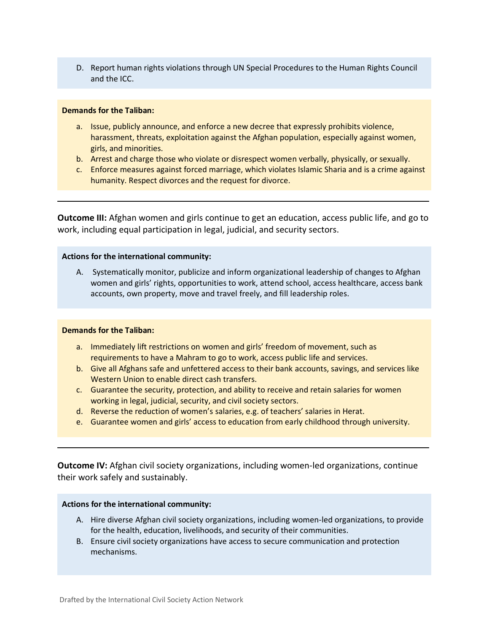D. Report human rights violations through UN Special Procedures to the Human Rights Council and the ICC.

#### **Demands for the Taliban:**

- a. Issue, publicly announce, and enforce a new decree that expressly prohibits violence, harassment, threats, exploitation against the Afghan population, especially against women, girls, and minorities.
- b. Arrest and charge those who violate or disrespect women verbally, physically, or sexually.
- c. Enforce measures against forced marriage, which violates Islamic Sharia and is a crime against humanity. Respect divorces and the request for divorce.

**Outcome III:** Afghan women and girls continue to get an education, access public life, and go to work, including equal participation in legal, judicial, and security sectors.

# **Actions for the international community:**

A. Systematically monitor, publicize and inform organizational leadership of changes to Afghan women and girls' rights, opportunities to work, attend school, access healthcare, access bank accounts, own property, move and travel freely, and fill leadership roles.

# **Demands for the Taliban:**

- a. Immediately lift restrictions on women and girls' freedom of movement, such as requirements to have a Mahram to go to work, access public life and services.
- b. Give all Afghans safe and unfettered access to their bank accounts, savings, and services like Western Union to enable direct cash transfers.
- c. Guarantee the security, protection, and ability to receive and retain salaries for women working in legal, judicial, security, and civil society sectors.
- d. Reverse the reduction of women's salaries, e.g. of teachers' salaries in Herat.
- e. Guarantee women and girls' access to education from early childhood through university.

**Outcome IV:** Afghan civil society organizations, including women-led organizations, continue their work safely and sustainably.

# **Actions for the international community:**

- A. Hire diverse Afghan civil society organizations, including women-led organizations, to provide for the health, education, livelihoods, and security of their communities.
- B. Ensure civil society organizations have access to secure communication and protection mechanisms.